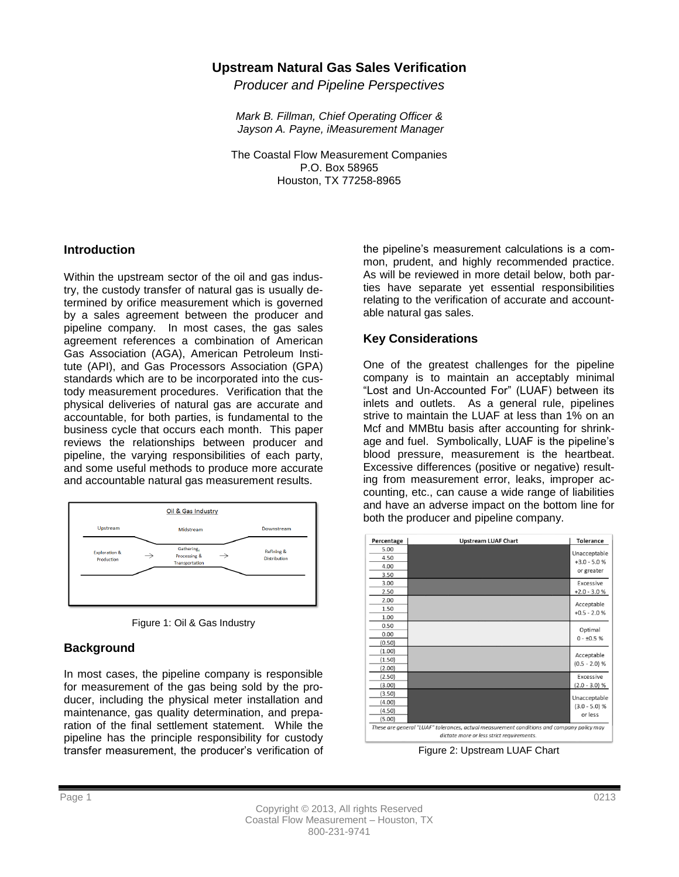## **Upstream Natural Gas Sales Verification**

*Producer and Pipeline Perspectives*

*Mark B. Fillman, Chief Operating Officer & Jayson A. Payne, iMeasurement Manager*

The Coastal Flow Measurement Companies P.O. Box 58965 Houston, TX 77258-8965

#### **Introduction**

Within the upstream sector of the oil and gas industry, the custody transfer of natural gas is usually determined by orifice measurement which is governed by a sales agreement between the producer and pipeline company. In most cases, the gas sales agreement references a combination of American Gas Association (AGA), American Petroleum Institute (API), and Gas Processors Association (GPA) standards which are to be incorporated into the custody measurement procedures. Verification that the physical deliveries of natural gas are accurate and accountable, for both parties, is fundamental to the business cycle that occurs each month. This paper reviews the relationships between producer and pipeline, the varying responsibilities of each party, and some useful methods to produce more accurate and accountable natural gas measurement results.





### **Background**

In most cases, the pipeline company is responsible for measurement of the gas being sold by the producer, including the physical meter installation and maintenance, gas quality determination, and preparation of the final settlement statement. While the pipeline has the principle responsibility for custody transfer measurement, the producer's verification of the pipeline's measurement calculations is a common, prudent, and highly recommended practice. As will be reviewed in more detail below, both parties have separate yet essential responsibilities relating to the verification of accurate and accountable natural gas sales.

## **Key Considerations**

One of the greatest challenges for the pipeline company is to maintain an acceptably minimal "Lost and Un-Accounted For" (LUAF) between its inlets and outlets. As a general rule, pipelines strive to maintain the LUAF at less than 1% on an Mcf and MMBtu basis after accounting for shrinkage and fuel. Symbolically, LUAF is the pipeline's blood pressure, measurement is the heartbeat. Excessive differences (positive or negative) resulting from measurement error, leaks, improper accounting, etc., can cause a wide range of liabilities and have an adverse impact on the bottom line for both the producer and pipeline company.



Figure 2: Upstream LUAF Chart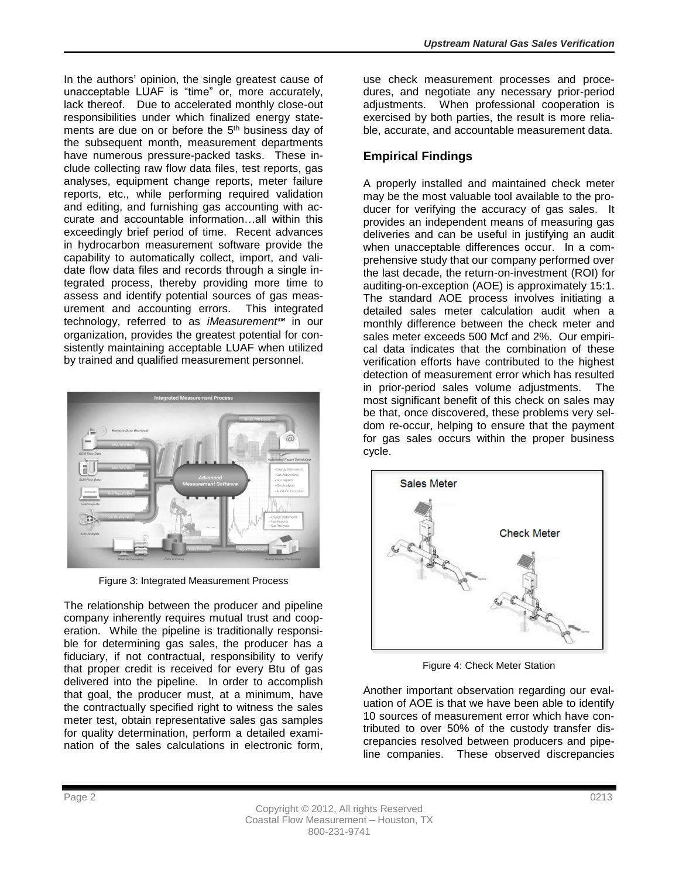In the authors' opinion, the single greatest cause of unacceptable LUAF is "time" or, more accurately, lack thereof. Due to accelerated monthly close-out responsibilities under which finalized energy statements are due on or before the 5<sup>th</sup> business day of the subsequent month, measurement departments have numerous pressure-packed tasks. These include collecting raw flow data files, test reports, gas analyses, equipment change reports, meter failure reports, etc., while performing required validation and editing, and furnishing gas accounting with accurate and accountable information…all within this exceedingly brief period of time. Recent advances in hydrocarbon measurement software provide the capability to automatically collect, import, and validate flow data files and records through a single integrated process, thereby providing more time to assess and identify potential sources of gas measurement and accounting errors. This integrated technology, referred to as *iMeasurement℠* in our organization, provides the greatest potential for consistently maintaining acceptable LUAF when utilized by trained and qualified measurement personnel.



Figure 3: Integrated Measurement Process

The relationship between the producer and pipeline company inherently requires mutual trust and cooperation. While the pipeline is traditionally responsible for determining gas sales, the producer has a fiduciary, if not contractual, responsibility to verify that proper credit is received for every Btu of gas delivered into the pipeline. In order to accomplish that goal, the producer must, at a minimum, have the contractually specified right to witness the sales meter test, obtain representative sales gas samples for quality determination, perform a detailed examination of the sales calculations in electronic form, use check measurement processes and procedures, and negotiate any necessary prior-period adjustments. When professional cooperation is exercised by both parties, the result is more reliable, accurate, and accountable measurement data.

# **Empirical Findings**

A properly installed and maintained check meter may be the most valuable tool available to the producer for verifying the accuracy of gas sales. It provides an independent means of measuring gas deliveries and can be useful in justifying an audit when unacceptable differences occur. In a comprehensive study that our company performed over the last decade, the return-on-investment (ROI) for auditing-on-exception (AOE) is approximately 15:1. The standard AOE process involves initiating a detailed sales meter calculation audit when a monthly difference between the check meter and sales meter exceeds 500 Mcf and 2%. Our empirical data indicates that the combination of these verification efforts have contributed to the highest detection of measurement error which has resulted in prior-period sales volume adjustments. The most significant benefit of this check on sales may be that, once discovered, these problems very seldom re-occur, helping to ensure that the payment for gas sales occurs within the proper business cycle.



Figure 4: Check Meter Station

Another important observation regarding our evaluation of AOE is that we have been able to identify 10 sources of measurement error which have contributed to over 50% of the custody transfer discrepancies resolved between producers and pipeline companies. These observed discrepancies